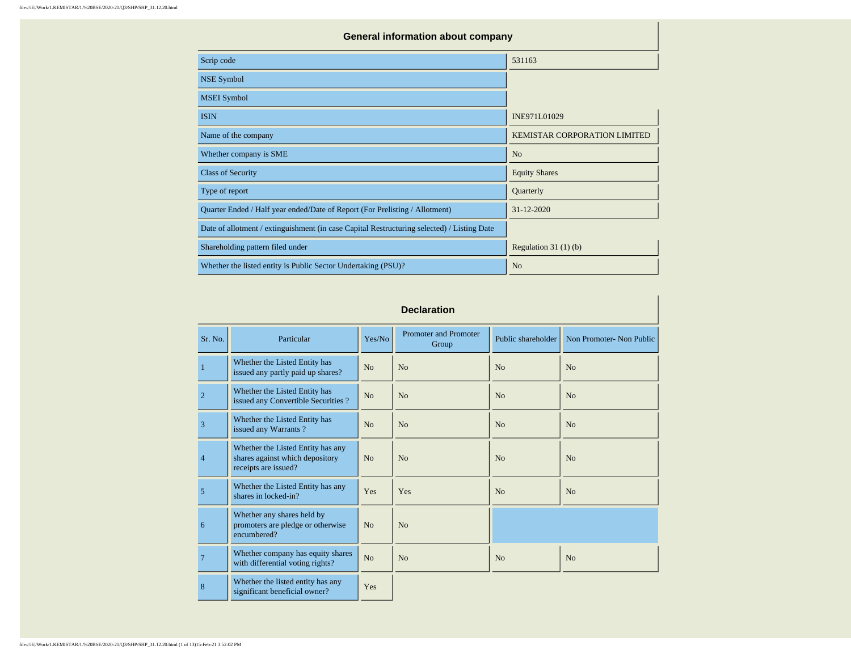| <b>General information about company</b>                                                   |                                     |  |  |  |  |  |  |  |  |
|--------------------------------------------------------------------------------------------|-------------------------------------|--|--|--|--|--|--|--|--|
| Scrip code                                                                                 | 531163                              |  |  |  |  |  |  |  |  |
| <b>NSE Symbol</b>                                                                          |                                     |  |  |  |  |  |  |  |  |
| <b>MSEI</b> Symbol                                                                         |                                     |  |  |  |  |  |  |  |  |
| <b>ISIN</b>                                                                                | INE971L01029                        |  |  |  |  |  |  |  |  |
| Name of the company                                                                        | <b>KEMISTAR CORPORATION LIMITED</b> |  |  |  |  |  |  |  |  |
| Whether company is SME                                                                     | N <sub>o</sub>                      |  |  |  |  |  |  |  |  |
| <b>Class of Security</b>                                                                   | <b>Equity Shares</b>                |  |  |  |  |  |  |  |  |
| Type of report                                                                             | Quarterly                           |  |  |  |  |  |  |  |  |
| Quarter Ended / Half year ended/Date of Report (For Prelisting / Allotment)                | $31 - 12 - 2020$                    |  |  |  |  |  |  |  |  |
| Date of allotment / extinguishment (in case Capital Restructuring selected) / Listing Date |                                     |  |  |  |  |  |  |  |  |
| Shareholding pattern filed under                                                           | Regulation $31(1)(b)$               |  |  |  |  |  |  |  |  |
| Whether the listed entity is Public Sector Undertaking (PSU)?                              | N <sub>0</sub>                      |  |  |  |  |  |  |  |  |

## **Declaration**

| Sr. No.        | Particular                                                                                   | Yes/No         | <b>Promoter and Promoter</b><br>Group | Public shareholder | Non Promoter- Non Public |
|----------------|----------------------------------------------------------------------------------------------|----------------|---------------------------------------|--------------------|--------------------------|
| 1              | Whether the Listed Entity has<br>issued any partly paid up shares?                           | N <sub>o</sub> | No                                    | No                 | N <sub>0</sub>           |
| $\overline{2}$ | Whether the Listed Entity has<br>issued any Convertible Securities?                          | No             | No                                    | No                 | N <sub>0</sub>           |
| $\overline{3}$ | Whether the Listed Entity has<br>issued any Warrants?                                        | No             | No                                    | No                 | N <sub>0</sub>           |
| $\overline{4}$ | Whether the Listed Entity has any<br>shares against which depository<br>receipts are issued? | No             | N <sub>0</sub>                        | N <sub>0</sub>     | N <sub>0</sub>           |
| 5              | Whether the Listed Entity has any<br>shares in locked-in?                                    | Yes            | Yes                                   | No                 | N <sub>0</sub>           |
| 6              | Whether any shares held by<br>promoters are pledge or otherwise<br>encumbered?               | N <sub>o</sub> | N <sub>0</sub>                        |                    |                          |
| $\overline{7}$ | Whether company has equity shares<br>with differential voting rights?                        | N <sub>o</sub> | No                                    | No                 | No                       |
| 8              | Whether the listed entity has any<br>significant beneficial owner?                           | Yes            |                                       |                    |                          |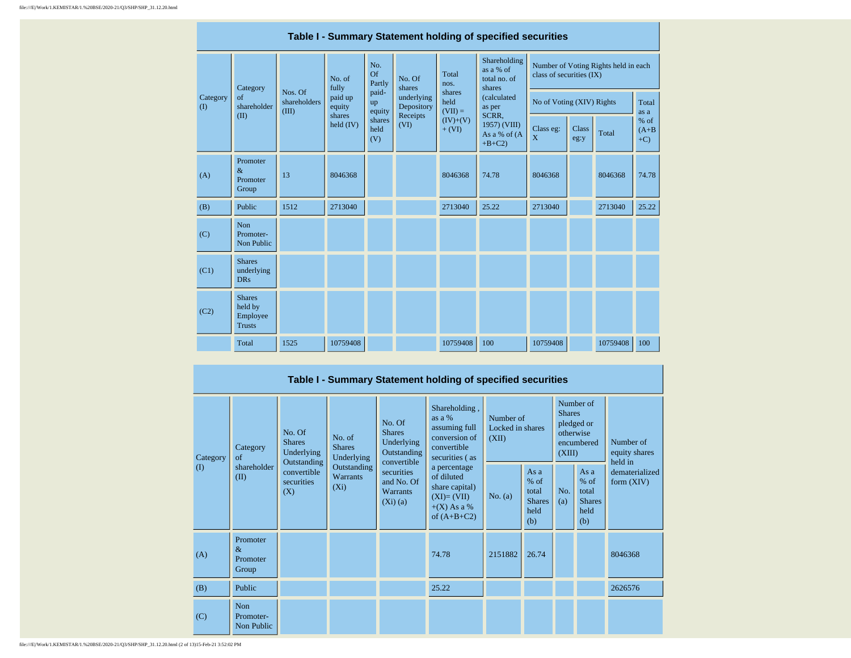|  | Table I - Summary Statement holding of specified securities |                                                       |                                  |                       |                       |                          |                                         |                                                     |                           |       |                                      |               |  |  |
|--|-------------------------------------------------------------|-------------------------------------------------------|----------------------------------|-----------------------|-----------------------|--------------------------|-----------------------------------------|-----------------------------------------------------|---------------------------|-------|--------------------------------------|---------------|--|--|
|  |                                                             | Category                                              |                                  | No. of<br>fully       | No.<br>Of<br>Partly   | No. Of<br>shares         | Total<br>nos.                           | Shareholding<br>as a % of<br>total no. of<br>shares | class of securities (IX)  |       | Number of Voting Rights held in each |               |  |  |
|  | Category<br>$($ $\Gamma$                                    | of<br>shareholder                                     | Nos. Of<br>shareholders<br>(III) | paid up<br>equity     | paid-<br>up<br>equity | underlying<br>Depository | shares<br>held<br>$(VII) =$             | (calculated<br>as per<br>SCRR,                      | No of Voting (XIV) Rights |       |                                      | Total<br>as a |  |  |
|  | (II)                                                        |                                                       | shares<br>held (IV)              | shares<br>held<br>(V) | Receipts<br>(VI)      | $(IV)+(V)$<br>$+ (VI)$   | 1957) (VIII)<br>As a % of (A<br>$+B+C2$ | Class eg:<br>X                                      | <b>Class</b><br>eg:y      | Total | $%$ of<br>$(A+B)$<br>$+C$ )          |               |  |  |
|  | (A)                                                         | Promoter<br>$\&$<br>Promoter<br>Group                 | 13                               | 8046368               |                       |                          | 8046368                                 | 74.78                                               | 8046368                   |       | 8046368                              | 74.78         |  |  |
|  | (B)                                                         | Public                                                | 1512                             | 2713040               |                       |                          | 2713040                                 | 25.22                                               | 2713040                   |       | 2713040                              | 25.22         |  |  |
|  | (C)                                                         | Non<br>Promoter-<br>Non Public                        |                                  |                       |                       |                          |                                         |                                                     |                           |       |                                      |               |  |  |
|  | (C1)                                                        | <b>Shares</b><br>underlying<br><b>DRs</b>             |                                  |                       |                       |                          |                                         |                                                     |                           |       |                                      |               |  |  |
|  | (C2)                                                        | <b>Shares</b><br>held by<br>Employee<br><b>Trusts</b> |                                  |                       |                       |                          |                                         |                                                     |                           |       |                                      |               |  |  |
|  |                                                             | Total                                                 | 1525                             | 10759408              |                       |                          | 10759408                                | 100                                                 | 10759408                  |       | 10759408                             | 100           |  |  |

|                      | Table I - Summary Statement holding of specified securities |                                                                                                              |                            |                                                                     |                                                                                                |           |                                                         |            |                                                                               |                                       |  |  |  |
|----------------------|-------------------------------------------------------------|--------------------------------------------------------------------------------------------------------------|----------------------------|---------------------------------------------------------------------|------------------------------------------------------------------------------------------------|-----------|---------------------------------------------------------|------------|-------------------------------------------------------------------------------|---------------------------------------|--|--|--|
| Category<br>$\Omega$ | Category<br>of<br>shareholder<br>(II)<br>(X)                | No. Of<br>No. of<br><b>Shares</b><br><b>Shares</b><br>Underlying<br>Underlying<br>Outstanding<br>Outstanding |                            | No. Of<br><b>Shares</b><br>Underlying<br>Outstanding<br>convertible | Shareholding,<br>as a %<br>assuming full<br>conversion of<br>convertible<br>securities (as     |           | Number of<br>Locked in shares<br>(XII)                  |            | Number of<br><b>Shares</b><br>pledged or<br>otherwise<br>encumbered<br>(XIII) | Number of<br>equity shares<br>held in |  |  |  |
|                      |                                                             | convertible<br>securities                                                                                    | <b>Warrants</b><br>$(X_i)$ | securities<br>and No. Of<br><b>Warrants</b><br>$(Xi)$ (a)           | a percentage<br>of diluted<br>share capital)<br>$(XI)=(VII)$<br>$+(X)$ As a %<br>of $(A+B+C2)$ | No. $(a)$ | As a<br>$%$ of<br>total<br><b>Shares</b><br>held<br>(b) | No.<br>(a) | As a<br>$%$ of<br>total<br><b>Shares</b><br>held<br>(b)                       | dematerialized<br>form $(XIV)$        |  |  |  |
| (A)                  | Promoter<br>$\&$<br>Promoter<br>Group                       |                                                                                                              |                            |                                                                     | 74.78                                                                                          | 2151882   | 26.74                                                   |            |                                                                               | 8046368                               |  |  |  |
| (B)                  | Public                                                      |                                                                                                              |                            |                                                                     | 25.22                                                                                          |           |                                                         |            |                                                                               | 2626576                               |  |  |  |
| (C)                  | <b>Non</b><br>Promoter-<br>Non Public                       |                                                                                                              |                            |                                                                     |                                                                                                |           |                                                         |            |                                                                               |                                       |  |  |  |

file:///E|/Work/1.KEMISTAR/1.%20BSE/2020-21/Q3/SHP/SHP\_31.12.20.html (2 of 13)15-Feb-21 3:52:02 PM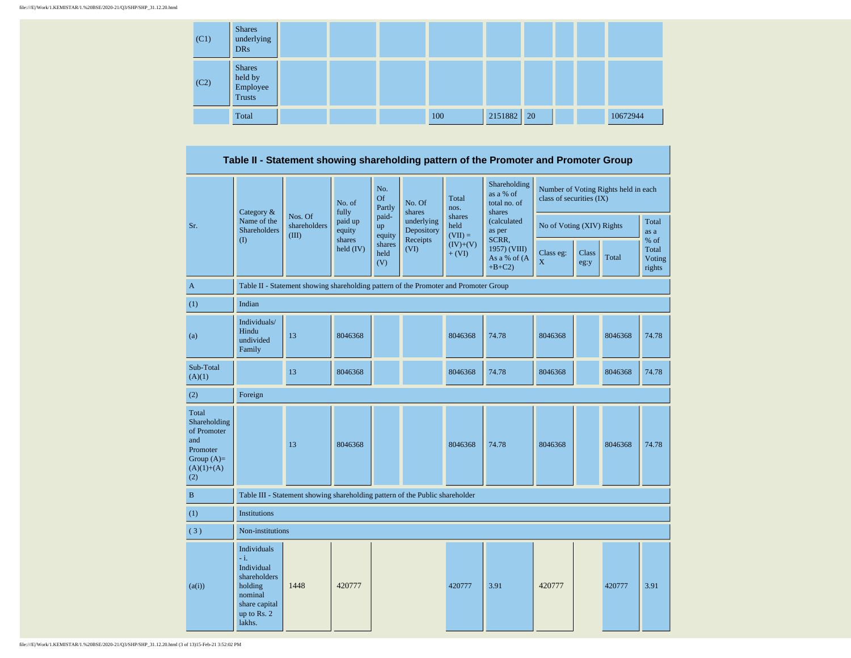| (C1) | <b>Shares</b><br>underlying<br><b>DRs</b>      |  |     |         |               |  |          |
|------|------------------------------------------------|--|-----|---------|---------------|--|----------|
| (C2) | <b>Shares</b><br>held by<br>Employee<br>Trusts |  |     |         |               |  |          |
|      | Total                                          |  | 100 | 2151882 | <sup>20</sup> |  | 10672944 |

**Table II - Statement showing shareholding pattern of the Promoter and Promoter Group**

|                                                                                                | Category &<br>Name of the                                                                                           |                                                                                      | No. of<br>fully       | No.<br><b>Of</b><br>Partly | No. Of<br>shares         | Total<br>nos.               | Shareholding<br>as a % of<br>total no. of<br>shares | class of securities (IX)  |               | Number of Voting Rights held in each |                                   |  |
|------------------------------------------------------------------------------------------------|---------------------------------------------------------------------------------------------------------------------|--------------------------------------------------------------------------------------|-----------------------|----------------------------|--------------------------|-----------------------------|-----------------------------------------------------|---------------------------|---------------|--------------------------------------|-----------------------------------|--|
| Sr.                                                                                            | <b>Shareholders</b>                                                                                                 | Nos. Of<br>shareholders<br>(III)                                                     | paid up<br>equity     | paid-<br>up<br>equity      | underlying<br>Depository | shares<br>held<br>$(VII) =$ | (calculated<br>as per                               | No of Voting (XIV) Rights |               |                                      | Total<br>as a                     |  |
|                                                                                                | (1)                                                                                                                 |                                                                                      | shares<br>$held$ (IV) | shares<br>held<br>(V)      | Receipts<br>(VI)         | $(IV)+(V)$<br>$+ (VI)$      | SCRR,<br>1957) (VIII)<br>As a % of (A<br>$+B+C2$    | Class eg:<br>X            | Class<br>eg:y | Total                                | % of<br>Total<br>Voting<br>rights |  |
| $\mathbf{A}$                                                                                   |                                                                                                                     | Table II - Statement showing shareholding pattern of the Promoter and Promoter Group |                       |                            |                          |                             |                                                     |                           |               |                                      |                                   |  |
| (1)                                                                                            | Indian                                                                                                              |                                                                                      |                       |                            |                          |                             |                                                     |                           |               |                                      |                                   |  |
| (a)                                                                                            | Individuals/<br>Hindu<br>undivided<br>Family                                                                        | 13                                                                                   | 8046368               |                            |                          | 8046368                     | 74.78                                               | 8046368                   |               | 8046368                              | 74.78                             |  |
| Sub-Total<br>(A)(1)                                                                            |                                                                                                                     | 13                                                                                   | 8046368               |                            |                          | 8046368                     | 74.78                                               | 8046368                   |               | 8046368                              | 74.78                             |  |
| (2)                                                                                            | Foreign                                                                                                             |                                                                                      |                       |                            |                          |                             |                                                     |                           |               |                                      |                                   |  |
| Total<br>Shareholding<br>of Promoter<br>and<br>Promoter<br>Group $(A)=$<br>$(A)(1)+(A)$<br>(2) |                                                                                                                     | 13                                                                                   | 8046368               |                            |                          | 8046368                     | 74.78                                               | 8046368                   |               | 8046368                              | 74.78                             |  |
| $\bf{B}$                                                                                       |                                                                                                                     | Table III - Statement showing shareholding pattern of the Public shareholder         |                       |                            |                          |                             |                                                     |                           |               |                                      |                                   |  |
| (1)                                                                                            | <b>Institutions</b>                                                                                                 |                                                                                      |                       |                            |                          |                             |                                                     |                           |               |                                      |                                   |  |
| (3)                                                                                            | Non-institutions                                                                                                    |                                                                                      |                       |                            |                          |                             |                                                     |                           |               |                                      |                                   |  |
| (a(i))                                                                                         | Individuals<br>$-i$ .<br>Individual<br>shareholders<br>holding<br>nominal<br>share capital<br>up to Rs. 2<br>lakhs. | 1448                                                                                 | 420777                |                            |                          | 420777                      | 3.91                                                | 420777                    |               | 420777                               | 3.91                              |  |

file:///E|/Work/1.KEMISTAR/1.%20BSE/2020-21/Q3/SHP/SHP\_31.12.20.html (3 of 13)15-Feb-21 3:52:02 PM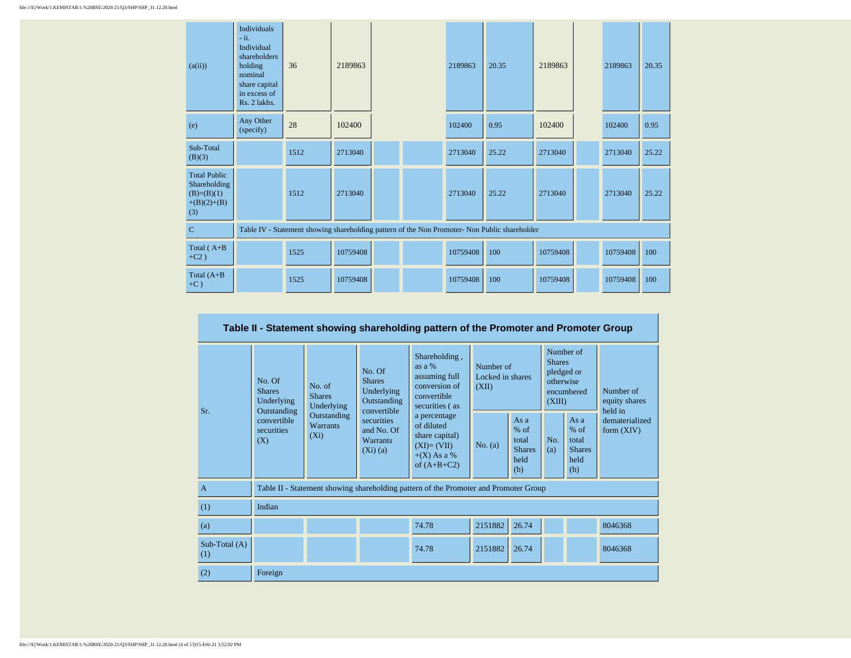| (a(ii))                                                                     | <b>Individuals</b><br>$-ii.$<br>Individual<br>shareholders<br>holding<br>nominal<br>share capital<br>in excess of<br>Rs. 2 lakhs. | 36   | 2189863  |  | 2189863  | 20.35                                                                                         | 2189863  | 2189863  | 20.35 |
|-----------------------------------------------------------------------------|-----------------------------------------------------------------------------------------------------------------------------------|------|----------|--|----------|-----------------------------------------------------------------------------------------------|----------|----------|-------|
| (e)                                                                         | Any Other<br>(specify)                                                                                                            | 28   | 102400   |  | 102400   | 0.95                                                                                          | 102400   | 102400   | 0.95  |
| Sub-Total<br>(B)(3)                                                         |                                                                                                                                   | 1512 | 2713040  |  | 2713040  | 25.22                                                                                         | 2713040  | 2713040  | 25.22 |
| <b>Total Public</b><br>Shareholding<br>$(B)=(B)(1)$<br>$+(B)(2)+(B)$<br>(3) |                                                                                                                                   | 1512 | 2713040  |  | 2713040  | 25.22                                                                                         | 2713040  | 2713040  | 25.22 |
| $\mathbf C$                                                                 |                                                                                                                                   |      |          |  |          | Table IV - Statement showing shareholding pattern of the Non Promoter- Non Public shareholder |          |          |       |
| Total $(A+B)$<br>$+C2)$                                                     |                                                                                                                                   | 1525 | 10759408 |  | 10759408 | 100                                                                                           | 10759408 | 10759408 | 100   |
| Total $(A+B)$<br>$+C$ )                                                     |                                                                                                                                   | 1525 | 10759408 |  | 10759408 | 100                                                                                           | 10759408 | 10759408 | 100   |

| Table II - Statement showing shareholding pattern of the Promoter and Promoter Group |                                                                                               |                                           |                                                                     |                                                                                                |                                        |                                                         |                                                                               |                                                           |                                       |  |  |
|--------------------------------------------------------------------------------------|-----------------------------------------------------------------------------------------------|-------------------------------------------|---------------------------------------------------------------------|------------------------------------------------------------------------------------------------|----------------------------------------|---------------------------------------------------------|-------------------------------------------------------------------------------|-----------------------------------------------------------|---------------------------------------|--|--|
| Sr.                                                                                  | No. Of<br>No. of<br><b>Shares</b><br><b>Shares</b><br>Underlying<br>Underlying<br>Outstanding |                                           | No. Of<br><b>Shares</b><br>Underlying<br>Outstanding<br>convertible | Shareholding,<br>as $a\%$<br>assuming full<br>conversion of<br>convertible<br>securities (as   | Number of<br>Locked in shares<br>(XII) |                                                         | Number of<br><b>Shares</b><br>pledged or<br>otherwise<br>encumbered<br>(XIII) |                                                           | Number of<br>equity shares<br>held in |  |  |
|                                                                                      | convertible<br>securities<br>(X)                                                              | Outstanding<br><b>Warrants</b><br>$(X_i)$ | securities<br>and No. Of<br><b>Warrants</b><br>(Xi)(a)              | a percentage<br>of diluted<br>share capital)<br>$(XI)=(VII)$<br>$+(X)$ As a %<br>of $(A+B+C2)$ | No. $(a)$                              | As a<br>$%$ of<br>total<br><b>Shares</b><br>held<br>(b) | No.<br>(a)                                                                    | As $a$<br>$%$ of<br>total<br><b>Shares</b><br>held<br>(b) | dematerialized<br>form $(XIV)$        |  |  |
| $\overline{A}$                                                                       |                                                                                               |                                           |                                                                     | Table II - Statement showing shareholding pattern of the Promoter and Promoter Group           |                                        |                                                         |                                                                               |                                                           |                                       |  |  |
| (1)                                                                                  | Indian                                                                                        |                                           |                                                                     |                                                                                                |                                        |                                                         |                                                                               |                                                           |                                       |  |  |
| (a)                                                                                  |                                                                                               |                                           |                                                                     | 74.78                                                                                          | 2151882                                | 26.74                                                   |                                                                               |                                                           | 8046368                               |  |  |
| Sub-Total (A)<br>(1)                                                                 |                                                                                               |                                           |                                                                     | 74.78                                                                                          | 2151882                                | 26.74                                                   |                                                                               |                                                           | 8046368                               |  |  |
| (2)                                                                                  | Foreign                                                                                       |                                           |                                                                     |                                                                                                |                                        |                                                         |                                                                               |                                                           |                                       |  |  |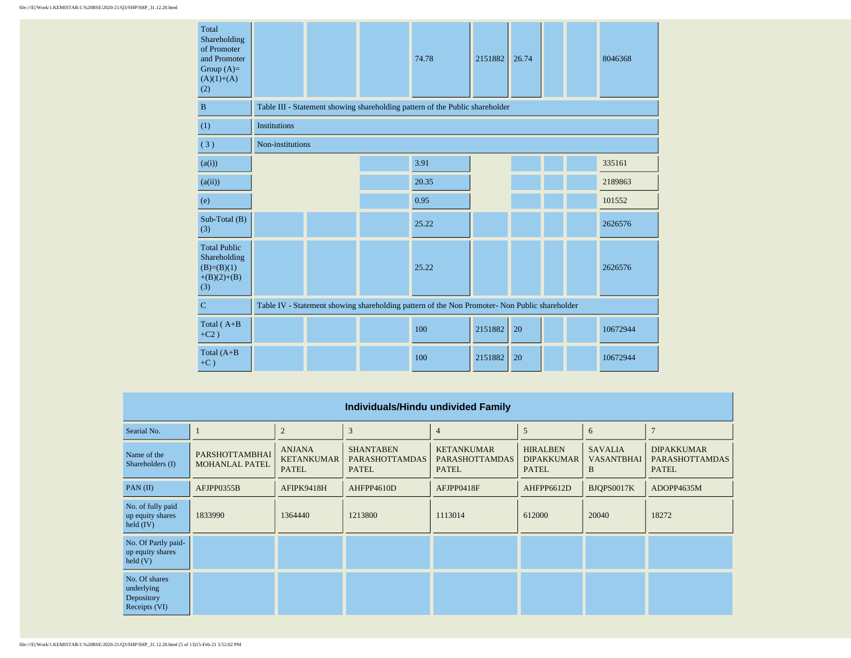| Total<br>Shareholding<br>of Promoter<br>and Promoter<br>Group $(A)=$<br>$(A)(1)+(A)$<br>(2) |                                                                                               |  |  | 74.78                                                                        | 2151882 | 26.74 |  |  | 8046368  |  |
|---------------------------------------------------------------------------------------------|-----------------------------------------------------------------------------------------------|--|--|------------------------------------------------------------------------------|---------|-------|--|--|----------|--|
| $\, {\bf B}$                                                                                |                                                                                               |  |  | Table III - Statement showing shareholding pattern of the Public shareholder |         |       |  |  |          |  |
| (1)                                                                                         | <b>Institutions</b>                                                                           |  |  |                                                                              |         |       |  |  |          |  |
| (3)                                                                                         | Non-institutions                                                                              |  |  |                                                                              |         |       |  |  |          |  |
| (a(i))                                                                                      |                                                                                               |  |  | 3.91                                                                         |         |       |  |  | 335161   |  |
| (a(ii))                                                                                     |                                                                                               |  |  | 20.35                                                                        |         |       |  |  | 2189863  |  |
| (e)                                                                                         |                                                                                               |  |  | 0.95                                                                         |         |       |  |  | 101552   |  |
| Sub-Total (B)<br>(3)                                                                        |                                                                                               |  |  | 25.22                                                                        |         |       |  |  | 2626576  |  |
| <b>Total Public</b><br>Shareholding<br>$(B)=(B)(1)$<br>$+(B)(2)+(B)$<br>(3)                 |                                                                                               |  |  | 25.22                                                                        |         |       |  |  | 2626576  |  |
| $\mathbf C$                                                                                 | Table IV - Statement showing shareholding pattern of the Non Promoter- Non Public shareholder |  |  |                                                                              |         |       |  |  |          |  |
| Total $(A+B)$<br>$+C2$ )                                                                    |                                                                                               |  |  | 100                                                                          | 2151882 | 20    |  |  | 10672944 |  |
| Total $(A+B)$<br>$+C$ )                                                                     |                                                                                               |  |  | 100                                                                          | 2151882 | 20    |  |  | 10672944 |  |

| Individuals/Hindu undivided Family                           |                                         |                                                    |                                                           |                                                            |                                                      |                                          |                                                            |  |  |  |  |
|--------------------------------------------------------------|-----------------------------------------|----------------------------------------------------|-----------------------------------------------------------|------------------------------------------------------------|------------------------------------------------------|------------------------------------------|------------------------------------------------------------|--|--|--|--|
| Searial No.                                                  |                                         | $\overline{2}$                                     | 3                                                         | $\overline{4}$                                             | 5                                                    | 6                                        | $\overline{7}$                                             |  |  |  |  |
| Name of the<br>Shareholders (I)                              | PARSHOTTAMBHAI<br><b>MOHANLAL PATEL</b> | <b>ANJANA</b><br><b>KETANKUMAR</b><br><b>PATEL</b> | <b>SHANTABEN</b><br><b>PARASHOTTAMDAS</b><br><b>PATEL</b> | <b>KETANKUMAR</b><br><b>PARASHOTTAMDAS</b><br><b>PATEL</b> | <b>HIRALBEN</b><br><b>DIPAKKUMAR</b><br><b>PATEL</b> | <b>SAVALIA</b><br><b>VASANTBHAI</b><br>B | <b>DIPAKKUMAR</b><br><b>PARASHOTTAMDAS</b><br><b>PATEL</b> |  |  |  |  |
| PAN(II)                                                      | AFJPP0355B                              | AFIPK9418H                                         | AHFPP4610D                                                | AFJPP0418F                                                 | AHFPP6612D                                           | BJQPS0017K                               | ADOPP4635M                                                 |  |  |  |  |
| No. of fully paid<br>up equity shares<br>held $(IV)$         | 1833990                                 | 1364440                                            | 1213800                                                   | 1113014                                                    | 612000                                               | 20040                                    | 18272                                                      |  |  |  |  |
| No. Of Partly paid-<br>up equity shares<br>$\text{held}$ (V) |                                         |                                                    |                                                           |                                                            |                                                      |                                          |                                                            |  |  |  |  |
| No. Of shares<br>underlying<br>Depository<br>Receipts (VI)   |                                         |                                                    |                                                           |                                                            |                                                      |                                          |                                                            |  |  |  |  |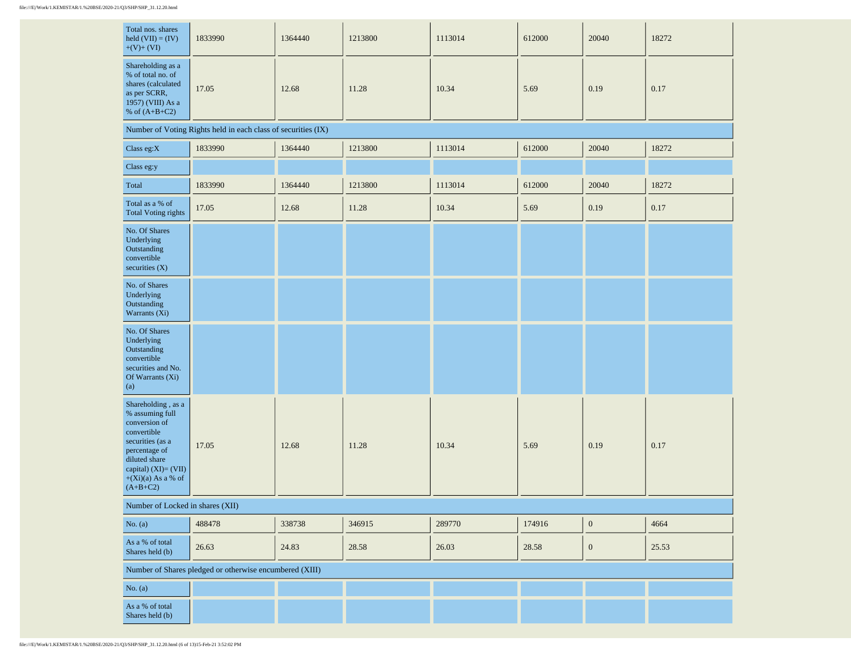| Total nos. shares<br>held $(VII) = (IV)$<br>$+(V)+(VI)$                                                                                                                                    | 1833990                                                       | 1364440 | 1213800 | 1113014 | 612000 | 20040            | 18272 |
|--------------------------------------------------------------------------------------------------------------------------------------------------------------------------------------------|---------------------------------------------------------------|---------|---------|---------|--------|------------------|-------|
| Shareholding as a<br>% of total no. of<br>shares (calculated<br>as per SCRR,<br>1957) (VIII) As a<br>% of $(A+B+C2)$                                                                       | 17.05                                                         | 12.68   | 11.28   | 10.34   | 5.69   | 0.19             | 0.17  |
|                                                                                                                                                                                            | Number of Voting Rights held in each class of securities (IX) |         |         |         |        |                  |       |
| Class eg: $X$                                                                                                                                                                              | 1833990                                                       | 1364440 | 1213800 | 1113014 | 612000 | 20040            | 18272 |
| Class eg:y                                                                                                                                                                                 |                                                               |         |         |         |        |                  |       |
| Total                                                                                                                                                                                      | 1833990                                                       | 1364440 | 1213800 | 1113014 | 612000 | 20040            | 18272 |
| Total as a % of<br><b>Total Voting rights</b>                                                                                                                                              | 17.05                                                         | 12.68   | 11.28   | 10.34   | 5.69   | 0.19             | 0.17  |
| No. Of Shares<br>Underlying<br>Outstanding<br>convertible<br>securities $(X)$                                                                                                              |                                                               |         |         |         |        |                  |       |
| No. of Shares<br>Underlying<br>Outstanding<br>Warrants (Xi)                                                                                                                                |                                                               |         |         |         |        |                  |       |
| No. Of Shares<br>Underlying<br>Outstanding<br>convertible<br>securities and No.<br>Of Warrants (Xi)<br>(a)                                                                                 |                                                               |         |         |         |        |                  |       |
| Shareholding , as a<br>% assuming full<br>conversion of<br>convertible<br>securities (as a<br>percentage of<br>diluted share<br>capital) (XI)= (VII)<br>$+(Xi)(a)$ As a % of<br>$(A+B+C2)$ | 17.05                                                         | 12.68   | 11.28   | 10.34   | 5.69   | 0.19             | 0.17  |
| Number of Locked in shares (XII)                                                                                                                                                           |                                                               |         |         |         |        |                  |       |
| No. $(a)$                                                                                                                                                                                  | 488478                                                        | 338738  | 346915  | 289770  | 174916 | $\boldsymbol{0}$ | 4664  |
| As a % of total<br>Shares held (b)                                                                                                                                                         | 26.63                                                         | 24.83   | 28.58   | 26.03   | 28.58  | $\boldsymbol{0}$ | 25.53 |
|                                                                                                                                                                                            | Number of Shares pledged or otherwise encumbered (XIII)       |         |         |         |        |                  |       |
| No. $(a)$                                                                                                                                                                                  |                                                               |         |         |         |        |                  |       |
| As a % of total<br>Shares held (b)                                                                                                                                                         |                                                               |         |         |         |        |                  |       |

 $\sim 10^{-1}$ 

 $\sim$  10  $^{\circ}$ 

 $\sim$ 

 $\sim$ 

 $\mathbf{r}$ 

 $\sim$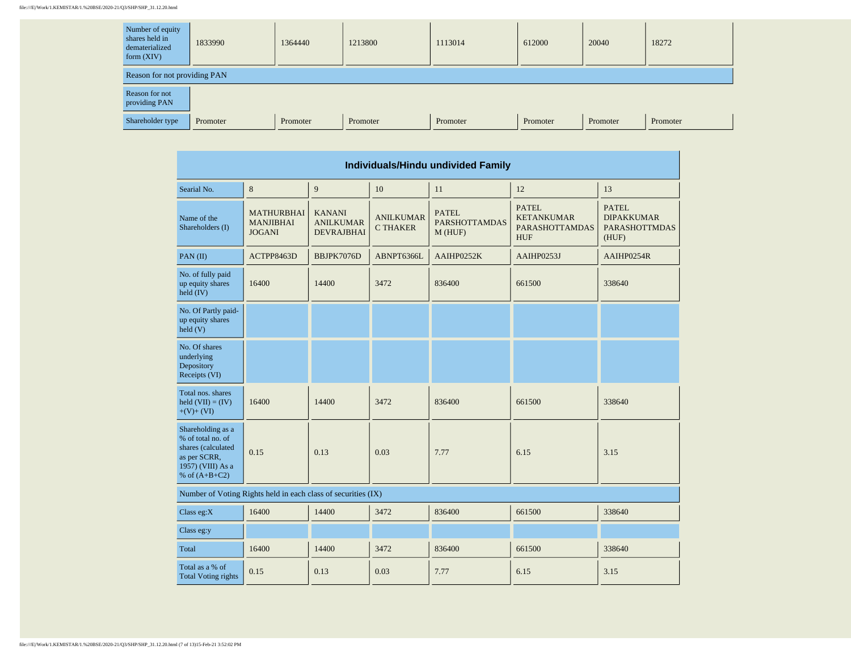## file:///E|/Work/1.KEMISTAR/1.%20BSE/2020-21/Q3/SHP/SHP\_31.12.20.html

| Number of equity<br>shares held in<br>dematerialized<br>form $(XIV)$ | 1833990  | 1364440  | 1213800  | 1113014  | 612000   | 20040    | 18272    |  |  |  |  |
|----------------------------------------------------------------------|----------|----------|----------|----------|----------|----------|----------|--|--|--|--|
| Reason for not providing PAN                                         |          |          |          |          |          |          |          |  |  |  |  |
| Reason for not<br>providing PAN                                      |          |          |          |          |          |          |          |  |  |  |  |
| Shareholder type                                                     | Promoter | Promoter | Promoter | Promoter | Promoter | Promoter | Promoter |  |  |  |  |

| Individuals/Hindu undivided Family                                                                                           |                                                               |                                                        |                                     |                                                |                                                                                                                 |            |  |  |  |  |  |
|------------------------------------------------------------------------------------------------------------------------------|---------------------------------------------------------------|--------------------------------------------------------|-------------------------------------|------------------------------------------------|-----------------------------------------------------------------------------------------------------------------|------------|--|--|--|--|--|
| Searial No.                                                                                                                  | 8                                                             | 9                                                      | 10                                  | 11                                             | 12                                                                                                              | 13         |  |  |  |  |  |
| Name of the<br>Shareholders (I)                                                                                              | MATHURBHAI<br><b>MANJIBHAI</b><br><b>JOGANI</b>               | <b>KANANI</b><br><b>ANILKUMAR</b><br><b>DEVRAJBHAI</b> | <b>ANILKUMAR</b><br><b>C THAKER</b> | <b>PATEL</b><br><b>PARSHOTTAMDAS</b><br>M(HUF) | <b>PATEL</b><br>PATEL<br><b>KETANKUMAR</b><br><b>DIPAKKUMAR</b><br><b>PARASHOTTAMDAS</b><br><b>HUF</b><br>(HUF) |            |  |  |  |  |  |
| PAN(II)                                                                                                                      | ACTPP8463D                                                    | BBJPK7076D                                             | ABNPT6366L                          | AAIHP0252K                                     | AAIHP0253J                                                                                                      | AAIHP0254R |  |  |  |  |  |
| No. of fully paid<br>up equity shares<br>held (IV)                                                                           | 16400                                                         | 14400                                                  | 3472<br>836400<br>661500            |                                                | 338640                                                                                                          |            |  |  |  |  |  |
| No. Of Partly paid-<br>up equity shares<br>held $(V)$                                                                        |                                                               |                                                        |                                     |                                                |                                                                                                                 |            |  |  |  |  |  |
| No. Of shares<br>underlying<br>Depository<br>Receipts (VI)                                                                   |                                                               |                                                        |                                     |                                                |                                                                                                                 |            |  |  |  |  |  |
| Total nos. shares<br>held $(VII) = (IV)$<br>$+(V)+(VI)$                                                                      | 16400                                                         | 14400                                                  | 3472                                | 836400                                         | 661500                                                                                                          | 338640     |  |  |  |  |  |
| Shareholding as a<br>% of total no. of<br>shares (calculated<br>0.15<br>as per SCRR,<br>1957) (VIII) As a<br>% of $(A+B+C2)$ |                                                               | 0.13                                                   | 0.03                                | 7.77                                           | 6.15                                                                                                            | 3.15       |  |  |  |  |  |
|                                                                                                                              | Number of Voting Rights held in each class of securities (IX) |                                                        |                                     |                                                |                                                                                                                 |            |  |  |  |  |  |
| Class eg: $X$                                                                                                                | 16400                                                         | 14400                                                  | 3472                                | 836400                                         | 661500                                                                                                          | 338640     |  |  |  |  |  |
| Class eg:y                                                                                                                   |                                                               |                                                        |                                     |                                                |                                                                                                                 |            |  |  |  |  |  |
| Total                                                                                                                        | 16400                                                         | 14400                                                  | 3472                                | 836400                                         | 661500                                                                                                          | 338640     |  |  |  |  |  |
| Total as a % of<br>0.15<br>0.13<br>0.03<br>7.77<br>6.15<br><b>Total Voting rights</b>                                        |                                                               |                                                        | 3.15                                |                                                |                                                                                                                 |            |  |  |  |  |  |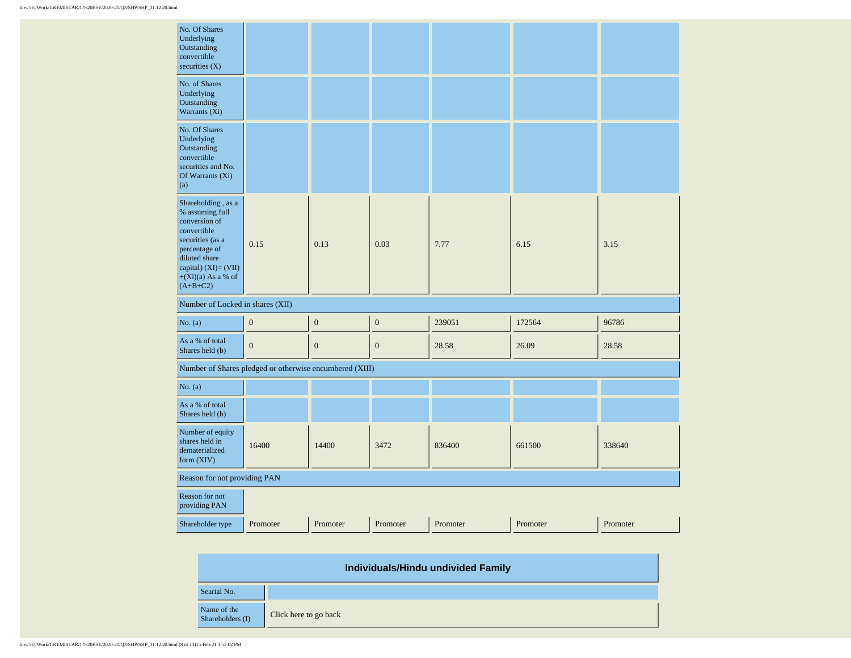| No. Of Shares<br>Underlying<br>Outstanding<br>convertible<br>securities $(X)$                                                                                                             |                  |                  |                  |          |          |          |
|-------------------------------------------------------------------------------------------------------------------------------------------------------------------------------------------|------------------|------------------|------------------|----------|----------|----------|
| No. of Shares<br>Underlying<br>Outstanding<br>Warrants (Xi)                                                                                                                               |                  |                  |                  |          |          |          |
| No. Of Shares<br>Underlying<br>Outstanding<br>convertible<br>securities and No.<br>Of Warrants (Xi)<br>(a)                                                                                |                  |                  |                  |          |          |          |
| Shareholding, as a<br>% assuming full<br>conversion of<br>convertible<br>securities (as a<br>percentage of<br>diluted share<br>capital) (XI)= (VII)<br>$+(Xi)(a)$ As a % of<br>$(A+B+C2)$ | 0.15             | 0.13             | 0.03             | 7.77     | 6.15     | 3.15     |
| Number of Locked in shares (XII)                                                                                                                                                          |                  |                  |                  |          |          |          |
| No. (a)                                                                                                                                                                                   | $\boldsymbol{0}$ | $\boldsymbol{0}$ | $\boldsymbol{0}$ | 239051   | 172564   | 96786    |
| As a % of total<br>Shares held (b)                                                                                                                                                        | $\boldsymbol{0}$ | $\boldsymbol{0}$ | $\boldsymbol{0}$ | 28.58    | 26.09    | 28.58    |
| Number of Shares pledged or otherwise encumbered (XIII)                                                                                                                                   |                  |                  |                  |          |          |          |
| No. (a)                                                                                                                                                                                   |                  |                  |                  |          |          |          |
| As a % of total<br>Shares held (b)                                                                                                                                                        |                  |                  |                  |          |          |          |
| Number of equity<br>shares held in<br>dematerialized<br>form (XIV)                                                                                                                        | 16400            | 14400            | 3472             | 836400   | 661500   | 338640   |
| Reason for not providing PAN                                                                                                                                                              |                  |                  |                  |          |          |          |
| Reason for not<br>providing PAN                                                                                                                                                           |                  |                  |                  |          |          |          |
| Shareholder type                                                                                                                                                                          | Promoter         | Promoter         | Promoter         | Promoter | Promoter | Promoter |

| Individuals/Hindu undivided Family |                       |  |  |  |  |  |  |
|------------------------------------|-----------------------|--|--|--|--|--|--|
| Searial No.                        |                       |  |  |  |  |  |  |
| Name of the<br>Shareholders (I)    | Click here to go back |  |  |  |  |  |  |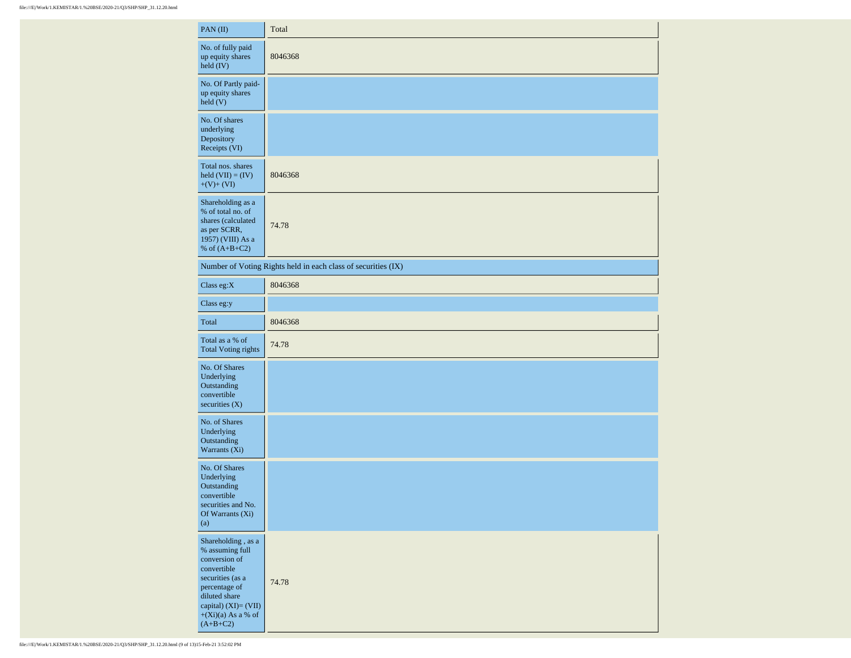| PAN(II)                                                                                                                                                                                    | Total                                                         |
|--------------------------------------------------------------------------------------------------------------------------------------------------------------------------------------------|---------------------------------------------------------------|
| No. of fully paid<br>up equity shares<br>held (IV)                                                                                                                                         | 8046368                                                       |
| No. Of Partly paid-<br>up equity shares<br>$\text{held}(V)$                                                                                                                                |                                                               |
| No. Of shares<br>underlying<br>Depository<br>Receipts (VI)                                                                                                                                 |                                                               |
| Total nos. shares<br>held $(VII) = (IV)$<br>$+(V)+(VI)$                                                                                                                                    | 8046368                                                       |
| Shareholding as a<br>% of total no. of<br>shares (calculated<br>as per SCRR,<br>1957) (VIII) As a<br>% of $(A+B+C2)$                                                                       | 74.78                                                         |
|                                                                                                                                                                                            | Number of Voting Rights held in each class of securities (IX) |
| Class eg: $X$                                                                                                                                                                              | 8046368                                                       |
| Class eg:y                                                                                                                                                                                 |                                                               |
| Total                                                                                                                                                                                      | 8046368                                                       |
| Total as a % of<br><b>Total Voting rights</b>                                                                                                                                              | 74.78                                                         |
| No. Of Shares<br>Underlying<br>Outstanding<br>convertible<br>securities (X)                                                                                                                |                                                               |
| No. of Shares<br>Underlying<br>Outstanding<br>Warrants (Xi)                                                                                                                                |                                                               |
| No. Of Shares<br>Underlying<br>Outstanding<br>convertible<br>securities and No.<br>Of Warrants (Xi)<br>(a)                                                                                 |                                                               |
| Shareholding , as a<br>% assuming full<br>conversion of<br>convertible<br>securities (as a<br>percentage of<br>diluted share<br>capital) (XI)= (VII)<br>$+(Xi)(a)$ As a % of<br>$(A+B+C2)$ | 74.78                                                         |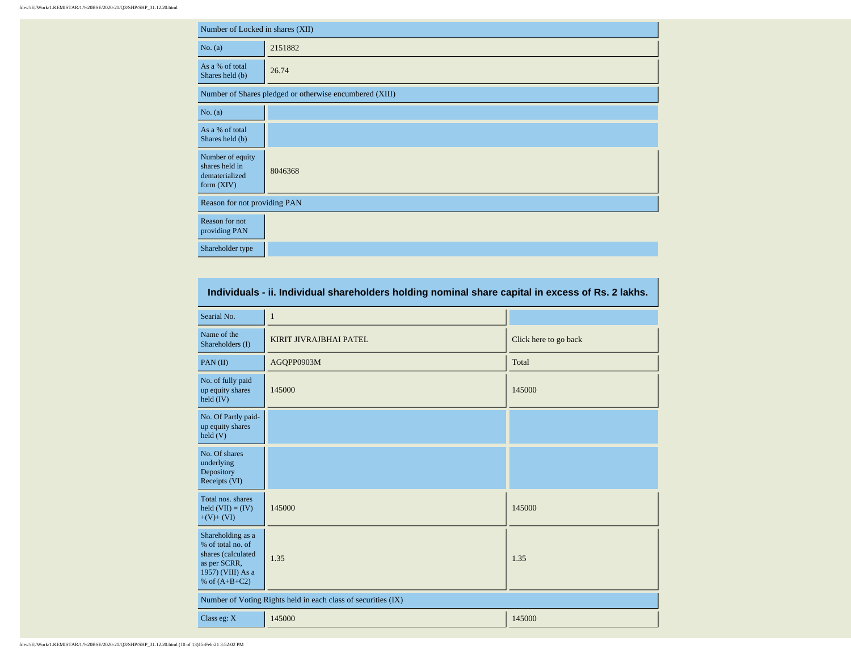| Number of Locked in shares (XII)                                     |                                                         |  |  |  |  |  |  |
|----------------------------------------------------------------------|---------------------------------------------------------|--|--|--|--|--|--|
| No. (a)                                                              | 2151882                                                 |  |  |  |  |  |  |
| As a % of total<br>Shares held (b)                                   | 26.74                                                   |  |  |  |  |  |  |
|                                                                      | Number of Shares pledged or otherwise encumbered (XIII) |  |  |  |  |  |  |
| No. (a)                                                              |                                                         |  |  |  |  |  |  |
| As a % of total<br>Shares held (b)                                   |                                                         |  |  |  |  |  |  |
| Number of equity<br>shares held in<br>dematerialized<br>form $(XIV)$ | 8046368                                                 |  |  |  |  |  |  |
| Reason for not providing PAN                                         |                                                         |  |  |  |  |  |  |
| Reason for not<br>providing PAN                                      |                                                         |  |  |  |  |  |  |
| Shareholder type                                                     |                                                         |  |  |  |  |  |  |

| Individuals - ii. Individual shareholders holding nominal share capital in excess of Rs. 2 lakhs.                    |                                                               |                       |  |  |  |  |  |  |  |
|----------------------------------------------------------------------------------------------------------------------|---------------------------------------------------------------|-----------------------|--|--|--|--|--|--|--|
| Searial No.                                                                                                          | $\mathbf{1}$                                                  |                       |  |  |  |  |  |  |  |
| Name of the<br>Shareholders (I)                                                                                      | KIRIT JIVRAJBHAI PATEL                                        | Click here to go back |  |  |  |  |  |  |  |
| PAN $(II)$                                                                                                           | AGQPP0903M                                                    | Total                 |  |  |  |  |  |  |  |
| No. of fully paid<br>up equity shares<br>held $(IV)$                                                                 | 145000                                                        | 145000                |  |  |  |  |  |  |  |
| No. Of Partly paid-<br>up equity shares<br>held $(V)$                                                                |                                                               |                       |  |  |  |  |  |  |  |
| No. Of shares<br>underlying<br>Depository<br>Receipts (VI)                                                           |                                                               |                       |  |  |  |  |  |  |  |
| Total nos, shares<br>held $(VII) = (IV)$<br>$+(V)+(VI)$                                                              | 145000                                                        | 145000                |  |  |  |  |  |  |  |
| Shareholding as a<br>% of total no. of<br>shares (calculated<br>as per SCRR,<br>1957) (VIII) As a<br>% of $(A+B+C2)$ | 1.35                                                          | 1.35                  |  |  |  |  |  |  |  |
|                                                                                                                      | Number of Voting Rights held in each class of securities (IX) |                       |  |  |  |  |  |  |  |
| Class eg: X                                                                                                          | 145000                                                        | 145000                |  |  |  |  |  |  |  |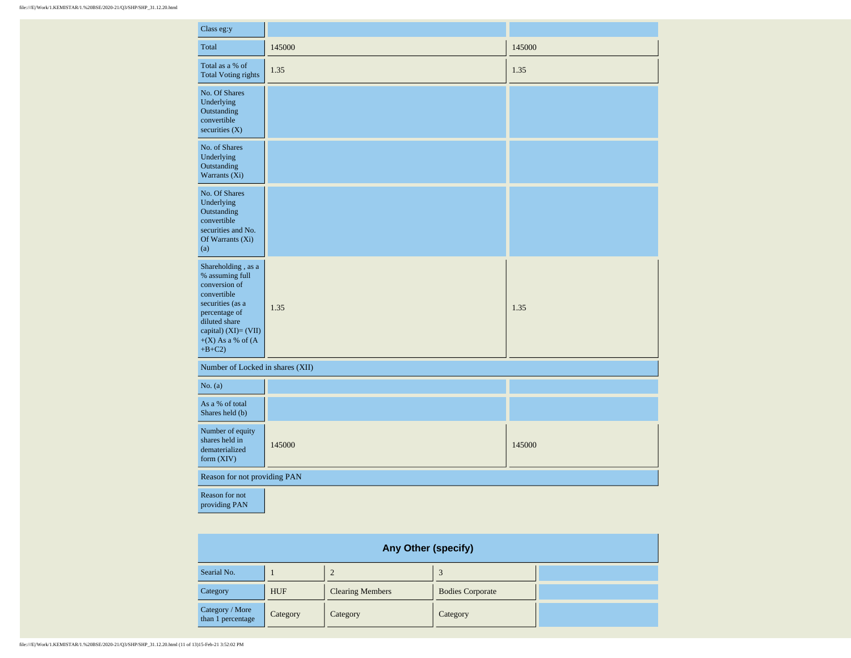| Class eg:y                                                                                                                                                                               |        |        |
|------------------------------------------------------------------------------------------------------------------------------------------------------------------------------------------|--------|--------|
| Total                                                                                                                                                                                    | 145000 | 145000 |
| Total as a % of<br><b>Total Voting rights</b>                                                                                                                                            | 1.35   | 1.35   |
| No. Of Shares<br>Underlying<br>Outstanding<br>convertible<br>securities $(X)$                                                                                                            |        |        |
| No. of Shares<br>Underlying<br>Outstanding<br>Warrants (Xi)                                                                                                                              |        |        |
| No. Of Shares<br>Underlying<br>Outstanding<br>convertible<br>securities and No.<br>Of Warrants (Xi)<br>(a)                                                                               |        |        |
| Shareholding, as a<br>% assuming full<br>conversion of<br>convertible<br>securities (as a<br>percentage of<br>diluted share<br>capital) (XI)= (VII)<br>$+(X)$ As a % of $(A)$<br>$+B+C2$ | 1.35   | 1.35   |
| Number of Locked in shares (XII)                                                                                                                                                         |        |        |
| No. (a)                                                                                                                                                                                  |        |        |
| As a % of total<br>Shares held (b)                                                                                                                                                       |        |        |
| Number of equity<br>shares held in<br>dematerialized<br>form $(XIV)$                                                                                                                     | 145000 | 145000 |
| Reason for not providing PAN                                                                                                                                                             |        |        |
| Reason for not<br>providing PAN                                                                                                                                                          |        |        |

| <b>Any Other (specify)</b>           |            |                         |                         |  |  |  |  |  |
|--------------------------------------|------------|-------------------------|-------------------------|--|--|--|--|--|
| Searial No.                          |            |                         |                         |  |  |  |  |  |
| Category                             | <b>HUF</b> | <b>Clearing Members</b> | <b>Bodies Corporate</b> |  |  |  |  |  |
| Category / More<br>than 1 percentage | Category   | Category                | Category                |  |  |  |  |  |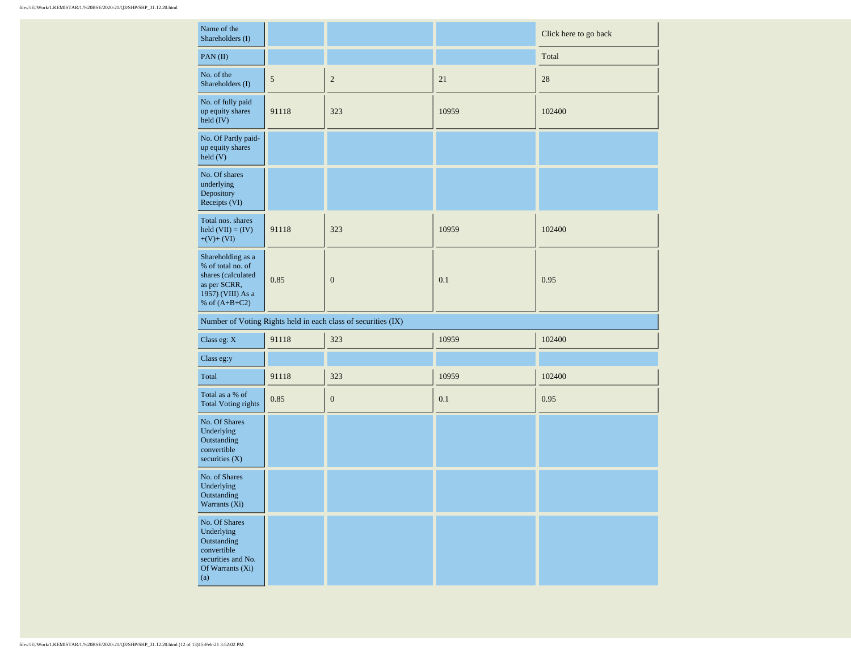| Name of the<br>Shareholders (I)                                                                                      |                |                                                               |       | Click here to go back |
|----------------------------------------------------------------------------------------------------------------------|----------------|---------------------------------------------------------------|-------|-----------------------|
| PAN(II)                                                                                                              |                |                                                               |       | Total                 |
| No. of the<br>Shareholders (I)                                                                                       | $\mathfrak{S}$ | $\sqrt{2}$                                                    | 21    | 28                    |
| No. of fully paid<br>up equity shares<br>held (IV)                                                                   | 91118          | 323                                                           | 10959 | 102400                |
| No. Of Partly paid-<br>up equity shares<br>held(V)                                                                   |                |                                                               |       |                       |
| No. Of shares<br>underlying<br>Depository<br>Receipts (VI)                                                           |                |                                                               |       |                       |
| Total nos. shares<br>held $(VII) = (IV)$<br>$+(V)+(VI)$                                                              | 91118          | 323                                                           | 10959 | 102400                |
| Shareholding as a<br>% of total no. of<br>shares (calculated<br>as per SCRR,<br>1957) (VIII) As a<br>% of $(A+B+C2)$ | 0.85           | $\boldsymbol{0}$                                              | 0.1   | 0.95                  |
|                                                                                                                      |                | Number of Voting Rights held in each class of securities (IX) |       |                       |
| Class eg: $\mathbf{X}$                                                                                               | 91118          | 323                                                           | 10959 | 102400                |
| Class eg:y                                                                                                           |                |                                                               |       |                       |
| Total                                                                                                                | 91118          | 323                                                           | 10959 | 102400                |
| Total as a % of<br><b>Total Voting rights</b>                                                                        | $0.85\,$       | $\boldsymbol{0}$                                              | 0.1   | 0.95                  |
| No. Of Shares<br>Underlying<br>Outstanding<br>convertible<br>securities $(X)$                                        |                |                                                               |       |                       |
| No. of Shares<br>Underlying<br>Outstanding<br>Warrants $(X_1)$                                                       |                |                                                               |       |                       |
| No. Of Shares<br>Underlying<br>Outstanding<br>convertible<br>securities and No.<br>Of Warrants (Xi)<br>(a)           |                |                                                               |       |                       |